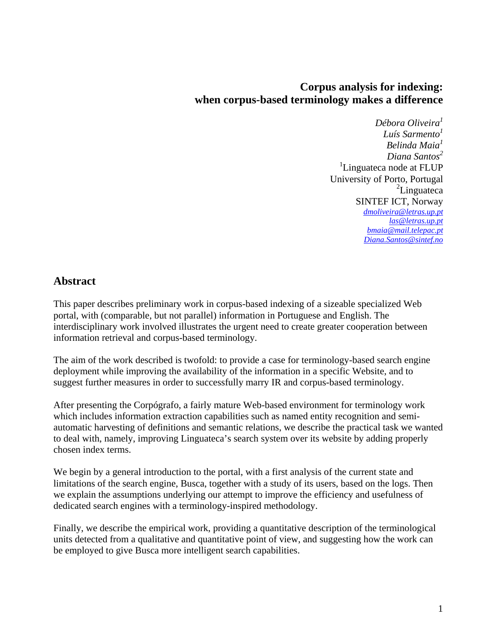### **Corpus analysis for indexing: when corpus-based terminology makes a difference**

*Débora Oliveira1 Luís Sarmento<sup>1</sup> Belinda Maia<sup>1</sup> Diana Santos<sup>2</sup>* <sup>1</sup>Linguateca node at FLUP University of Porto, Portugal <sup>2</sup>Linguateca SINTEF ICT, Norway *[dmoliveira@letras.up.pt](mailto:dmoliveira@letras.up.pt) [las@letras.up.pt](mailto:las@letras.up.pt) [bmaia@mail.telepac.pt](mailto:bmaia@mail.telepac.pt) [Diana.Santos@sintef.no](mailto:Diana.Santos@sintef.no)*

#### **Abstract**

This paper describes preliminary work in corpus-based indexing of a sizeable specialized Web portal, with (comparable, but not parallel) information in Portuguese and English. The interdisciplinary work involved illustrates the urgent need to create greater cooperation between information retrieval and corpus-based terminology.

The aim of the work described is twofold: to provide a case for terminology-based search engine deployment while improving the availability of the information in a specific Website, and to suggest further measures in order to successfully marry IR and corpus-based terminology.

After presenting the Corpógrafo, a fairly mature Web-based environment for terminology work which includes information extraction capabilities such as named entity recognition and semiautomatic harvesting of definitions and semantic relations, we describe the practical task we wanted to deal with, namely, improving Linguateca's search system over its website by adding properly chosen index terms.

We begin by a general introduction to the portal, with a first analysis of the current state and limitations of the search engine, Busca, together with a study of its users, based on the logs. Then we explain the assumptions underlying our attempt to improve the efficiency and usefulness of dedicated search engines with a terminology-inspired methodology.

Finally, we describe the empirical work, providing a quantitative description of the terminological units detected from a qualitative and quantitative point of view, and suggesting how the work can be employed to give Busca more intelligent search capabilities.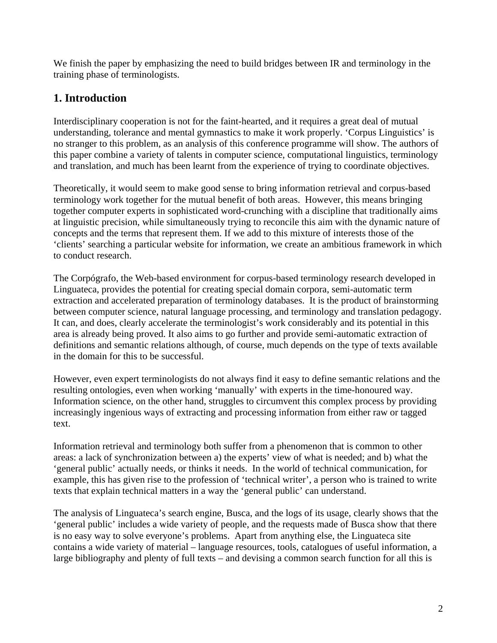We finish the paper by emphasizing the need to build bridges between IR and terminology in the training phase of terminologists.

### **1. Introduction**

Interdisciplinary cooperation is not for the faint-hearted, and it requires a great deal of mutual understanding, tolerance and mental gymnastics to make it work properly. 'Corpus Linguistics' is no stranger to this problem, as an analysis of this conference programme will show. The authors of this paper combine a variety of talents in computer science, computational linguistics, terminology and translation, and much has been learnt from the experience of trying to coordinate objectives.

Theoretically, it would seem to make good sense to bring information retrieval and corpus-based terminology work together for the mutual benefit of both areas. However, this means bringing together computer experts in sophisticated word-crunching with a discipline that traditionally aims at linguistic precision, while simultaneously trying to reconcile this aim with the dynamic nature of concepts and the terms that represent them. If we add to this mixture of interests those of the 'clients' searching a particular website for information, we create an ambitious framework in which to conduct research.

The Corpógrafo, the Web-based environment for corpus-based terminology research developed in Linguateca, provides the potential for creating special domain corpora, semi-automatic term extraction and accelerated preparation of terminology databases. It is the product of brainstorming between computer science, natural language processing, and terminology and translation pedagogy. It can, and does, clearly accelerate the terminologist's work considerably and its potential in this area is already being proved. It also aims to go further and provide semi-automatic extraction of definitions and semantic relations although, of course, much depends on the type of texts available in the domain for this to be successful.

However, even expert terminologists do not always find it easy to define semantic relations and the resulting ontologies, even when working 'manually' with experts in the time-honoured way. Information science, on the other hand, struggles to circumvent this complex process by providing increasingly ingenious ways of extracting and processing information from either raw or tagged text.

Information retrieval and terminology both suffer from a phenomenon that is common to other areas: a lack of synchronization between a) the experts' view of what is needed; and b) what the 'general public' actually needs, or thinks it needs. In the world of technical communication, for example, this has given rise to the profession of 'technical writer', a person who is trained to write texts that explain technical matters in a way the 'general public' can understand.

The analysis of Linguateca's search engine, Busca, and the logs of its usage, clearly shows that the 'general public' includes a wide variety of people, and the requests made of Busca show that there is no easy way to solve everyone's problems. Apart from anything else, the Linguateca site contains a wide variety of material – language resources, tools, catalogues of useful information, a large bibliography and plenty of full texts – and devising a common search function for all this is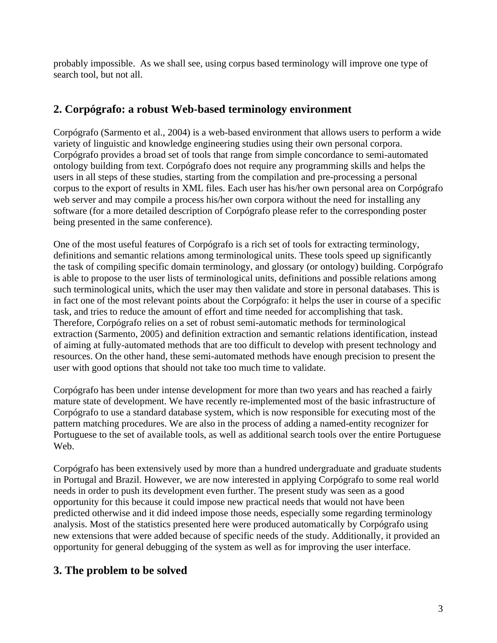probably impossible. As we shall see, using corpus based terminology will improve one type of search tool, but not all.

### **2. Corpógrafo: a robust Web-based terminology environment**

Corpógrafo (Sarmento et al., 2004) is a web-based environment that allows users to perform a wide variety of linguistic and knowledge engineering studies using their own personal corpora. Corpógrafo provides a broad set of tools that range from simple concordance to semi-automated ontology building from text. Corpógrafo does not require any programming skills and helps the users in all steps of these studies, starting from the compilation and pre-processing a personal corpus to the export of results in XML files. Each user has his/her own personal area on Corpógrafo web server and may compile a process his/her own corpora without the need for installing any software (for a more detailed description of Corpógrafo please refer to the corresponding poster being presented in the same conference).

One of the most useful features of Corpógrafo is a rich set of tools for extracting terminology, definitions and semantic relations among terminological units. These tools speed up significantly the task of compiling specific domain terminology, and glossary (or ontology) building. Corpógrafo is able to propose to the user lists of terminological units, definitions and possible relations among such terminological units, which the user may then validate and store in personal databases. This is in fact one of the most relevant points about the Corpógrafo: it helps the user in course of a specific task, and tries to reduce the amount of effort and time needed for accomplishing that task. Therefore, Corpógrafo relies on a set of robust semi-automatic methods for terminological extraction (Sarmento, 2005) and definition extraction and semantic relations identification, instead of aiming at fully-automated methods that are too difficult to develop with present technology and resources. On the other hand, these semi-automated methods have enough precision to present the user with good options that should not take too much time to validate.

Corpógrafo has been under intense development for more than two years and has reached a fairly mature state of development. We have recently re-implemented most of the basic infrastructure of Corpógrafo to use a standard database system, which is now responsible for executing most of the pattern matching procedures. We are also in the process of adding a named-entity recognizer for Portuguese to the set of available tools, as well as additional search tools over the entire Portuguese Web.

Corpógrafo has been extensively used by more than a hundred undergraduate and graduate students in Portugal and Brazil. However, we are now interested in applying Corpógrafo to some real world needs in order to push its development even further. The present study was seen as a good opportunity for this because it could impose new practical needs that would not have been predicted otherwise and it did indeed impose those needs, especially some regarding terminology analysis. Most of the statistics presented here were produced automatically by Corpógrafo using new extensions that were added because of specific needs of the study. Additionally, it provided an opportunity for general debugging of the system as well as for improving the user interface.

# **3. The problem to be solved**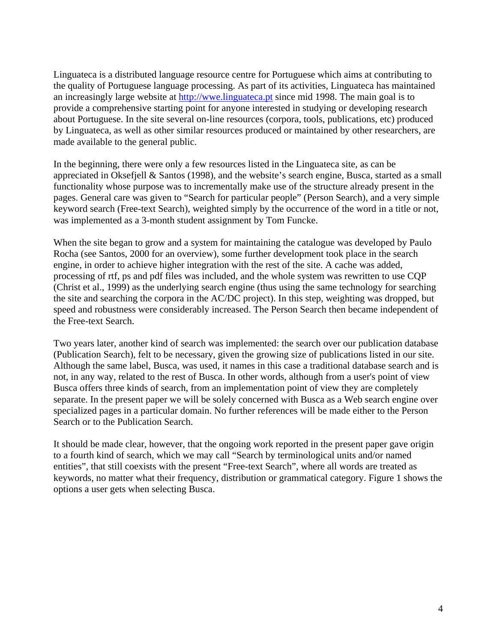Linguateca is a distributed language resource centre for Portuguese which aims at contributing to the quality of Portuguese language processing. As part of its activities, Linguateca has maintained an increasingly large website at [http://wwe.linguateca.pt](http://wwe.linguateca.pt/) since mid 1998. The main goal is to provide a comprehensive starting point for anyone interested in studying or developing research about Portuguese. In the site several on-line resources (corpora, tools, publications, etc) produced by Linguateca, as well as other similar resources produced or maintained by other researchers, are made available to the general public.

In the beginning, there were only a few resources listed in the Linguateca site, as can be appreciated in Oksefjell & Santos (1998), and the website's search engine, Busca, started as a small functionality whose purpose was to incrementally make use of the structure already present in the pages. General care was given to "Search for particular people" (Person Search), and a very simple keyword search (Free-text Search), weighted simply by the occurrence of the word in a title or not, was implemented as a 3-month student assignment by Tom Funcke.

When the site began to grow and a system for maintaining the catalogue was developed by Paulo Rocha (see Santos, 2000 for an overview), some further development took place in the search engine, in order to achieve higher integration with the rest of the site. A cache was added, processing of rtf, ps and pdf files was included, and the whole system was rewritten to use CQP (Christ et al., 1999) as the underlying search engine (thus using the same technology for searching the site and searching the corpora in the AC/DC project). In this step, weighting was dropped, but speed and robustness were considerably increased. The Person Search then became independent of the Free-text Search.

Two years later, another kind of search was implemented: the search over our publication database (Publication Search), felt to be necessary, given the growing size of publications listed in our site. Although the same label, Busca, was used, it names in this case a traditional database search and is not, in any way, related to the rest of Busca. In other words, although from a user's point of view Busca offers three kinds of search, from an implementation point of view they are completely separate. In the present paper we will be solely concerned with Busca as a Web search engine over specialized pages in a particular domain. No further references will be made either to the Person Search or to the Publication Search.

It should be made clear, however, that the ongoing work reported in the present paper gave origin to a fourth kind of search, which we may call "Search by terminological units and/or named entities", that still coexists with the present "Free-text Search", where all words are treated as keywords, no matter what their frequency, distribution or grammatical category. Figure 1 shows the options a user gets when selecting Busca.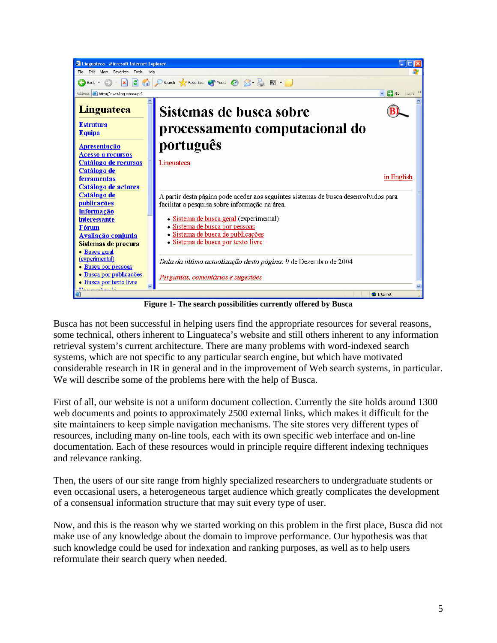

**Figure 1- The search possibilities currently offered by Busca** 

Busca has not been successful in helping users find the appropriate resources for several reasons, some technical, others inherent to Linguateca's website and still others inherent to any information retrieval system's current architecture. There are many problems with word-indexed search systems, which are not specific to any particular search engine, but which have motivated considerable research in IR in general and in the improvement of Web search systems, in particular. We will describe some of the problems here with the help of Busca.

First of all, our website is not a uniform document collection. Currently the site holds around 1300 web documents and points to approximately 2500 external links, which makes it difficult for the site maintainers to keep simple navigation mechanisms. The site stores very different types of resources, including many on-line tools, each with its own specific web interface and on-line documentation. Each of these resources would in principle require different indexing techniques and relevance ranking.

Then, the users of our site range from highly specialized researchers to undergraduate students or even occasional users, a heterogeneous target audience which greatly complicates the development of a consensual information structure that may suit every type of user.

Now, and this is the reason why we started working on this problem in the first place, Busca did not make use of any knowledge about the domain to improve performance. Our hypothesis was that such knowledge could be used for indexation and ranking purposes, as well as to help users reformulate their search query when needed.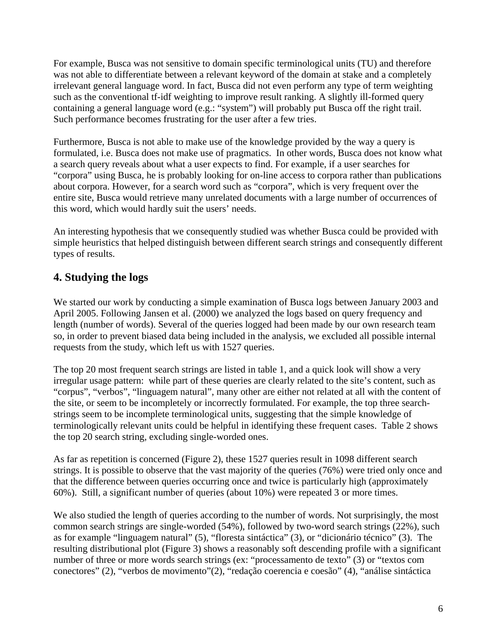For example, Busca was not sensitive to domain specific terminological units (TU) and therefore was not able to differentiate between a relevant keyword of the domain at stake and a completely irrelevant general language word. In fact, Busca did not even perform any type of term weighting such as the conventional tf-idf weighting to improve result ranking. A slightly ill-formed query containing a general language word (e.g.: "system") will probably put Busca off the right trail. Such performance becomes frustrating for the user after a few tries.

Furthermore, Busca is not able to make use of the knowledge provided by the way a query is formulated, i.e. Busca does not make use of pragmatics. In other words, Busca does not know what a search query reveals about what a user expects to find. For example, if a user searches for "corpora" using Busca, he is probably looking for on-line access to corpora rather than publications about corpora. However, for a search word such as "corpora", which is very frequent over the entire site, Busca would retrieve many unrelated documents with a large number of occurrences of this word, which would hardly suit the users' needs.

An interesting hypothesis that we consequently studied was whether Busca could be provided with simple heuristics that helped distinguish between different search strings and consequently different types of results.

### **4. Studying the logs**

We started our work by conducting a simple examination of Busca logs between January 2003 and April 2005. Following Jansen et al. (2000) we analyzed the logs based on query frequency and length (number of words). Several of the queries logged had been made by our own research team so, in order to prevent biased data being included in the analysis, we excluded all possible internal requests from the study, which left us with 1527 queries.

The top 20 most frequent search strings are listed in table 1, and a quick look will show a very irregular usage pattern: while part of these queries are clearly related to the site's content, such as "corpus", "verbos", "linguagem natural", many other are either not related at all with the content of the site, or seem to be incompletely or incorrectly formulated. For example, the top three searchstrings seem to be incomplete terminological units, suggesting that the simple knowledge of terminologically relevant units could be helpful in identifying these frequent cases. Table 2 shows the top 20 search string, excluding single-worded ones.

As far as repetition is concerned (Figure 2), these 1527 queries result in 1098 different search strings. It is possible to observe that the vast majority of the queries (76%) were tried only once and that the difference between queries occurring once and twice is particularly high (approximately 60%). Still, a significant number of queries (about 10%) were repeated 3 or more times.

We also studied the length of queries according to the number of words. Not surprisingly, the most common search strings are single-worded (54%), followed by two-word search strings (22%), such as for example "linguagem natural" (5), "floresta sintáctica" (3), or "dicionário técnico" (3). The resulting distributional plot (Figure 3) shows a reasonably soft descending profile with a significant number of three or more words search strings (ex: "processamento de texto" (3) or "textos com conectores" (2), "verbos de movimento"(2), "redação coerencia e coesão" (4), "análise sintáctica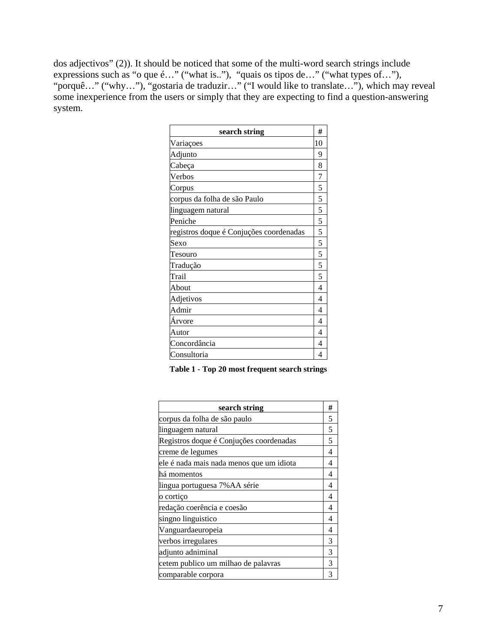dos adjectivos" (2)). It should be noticed that some of the multi-word search strings include expressions such as "o que é…" ("what is.."), "quais os tipos de…" ("what types of…"), "porquê…" ("why…"), "gostaria de traduzir…" ("I would like to translate…"), which may reveal some inexperience from the users or simply that they are expecting to find a question-answering system.

| search string                           | #              |
|-----------------------------------------|----------------|
| Variações                               | 10             |
| Adjunto                                 | 9              |
| Cabeça                                  | 8              |
| Verbos                                  | 7              |
| Corpus                                  | 5              |
| corpus da folha de são Paulo            | 5              |
| linguagem natural                       | 5              |
| Peniche                                 | 5              |
| registros doque é Conjuções coordenadas | 5              |
| Sexo                                    | 5              |
| Tesouro                                 | 5              |
| Tradução                                | 5              |
| Trail                                   | 5              |
| About                                   | $\overline{A}$ |
| Adjetivos                               | 4              |
| Admir                                   | 4              |
| Árvore                                  | 4              |
| Autor                                   | 4              |
| Concordância                            | 4              |
| Consultoria                             | 4              |

| Table 1 - Top 20 most frequent search strings |
|-----------------------------------------------|
|-----------------------------------------------|

| search string                            | # |
|------------------------------------------|---|
| corpus da folha de são paulo             | 5 |
| linguagem natural                        | 5 |
| Registros doque é Conjuções coordenadas  | 5 |
| creme de legumes                         | 4 |
| ele é nada mais nada menos que um idiota | 4 |
| há momentos                              | 4 |
| lingua portuguesa 7% AA série            | 4 |
| o cortiço                                | 4 |
| redação coerência e coesão               | 4 |
| singno linguistico                       | 4 |
| Vanguardaeuropeia                        | 4 |
| verbos irregulares                       | 3 |
| adjunto adniminal                        | 3 |
| cetem publico um milhao de palavras      | 3 |
| comparable corpora                       | 3 |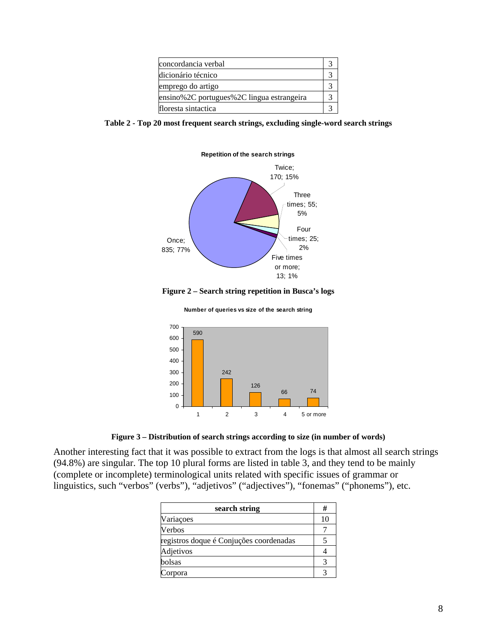| concordancia verbal                       |  |
|-------------------------------------------|--|
| dicionário técnico                        |  |
| emprego do artigo                         |  |
| ensino%2C portugues%2C lingua estrangeira |  |
| floresta sintactica                       |  |

|  | Table 2 - Top 20 most frequent search strings, excluding single-word search strings |  |  |
|--|-------------------------------------------------------------------------------------|--|--|
|  |                                                                                     |  |  |



**Figure 2 – Search string repetition in Busca's logs** 

**Number of queries vs size of the search string**



**Figure 3 – Distribution of search strings according to size (in number of words)** 

Another interesting fact that it was possible to extract from the logs is that almost all search strings (94.8%) are singular. The top 10 plural forms are listed in table 3, and they tend to be mainly (complete or incomplete) terminological units related with specific issues of grammar or linguistics, such "verbos" (verbs"), "adjetivos" ("adjectives"), "fonemas" ("phonems"), etc.

| search string                           |    |
|-----------------------------------------|----|
| Variações                               | 10 |
| Verbos                                  |    |
| registros doque é Conjuções coordenadas |    |
| Adjetivos                               |    |
| bolsas                                  |    |
| orpora                                  |    |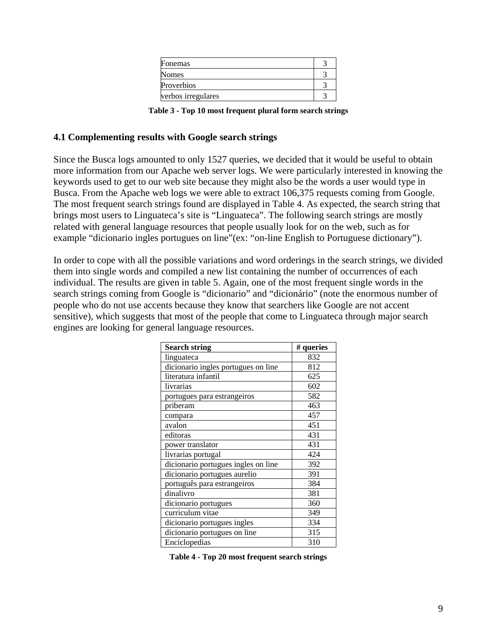| Fonemas            |  |
|--------------------|--|
| <b>Nomes</b>       |  |
| Proverbios         |  |
| verbos irregulares |  |

**Table 3 - Top 10 most frequent plural form search strings** 

#### **4.1 Complementing results with Google search strings**

Since the Busca logs amounted to only 1527 queries, we decided that it would be useful to obtain more information from our Apache web server logs. We were particularly interested in knowing the keywords used to get to our web site because they might also be the words a user would type in Busca. From the Apache web logs we were able to extract 106,375 requests coming from Google. The most frequent search strings found are displayed in Table 4. As expected, the search string that brings most users to Linguateca's site is "Linguateca". The following search strings are mostly related with general language resources that people usually look for on the web, such as for example "dicionario ingles portugues on line"(ex: "on-line English to Portuguese dictionary").

In order to cope with all the possible variations and word orderings in the search strings, we divided them into single words and compiled a new list containing the number of occurrences of each individual. The results are given in table 5. Again, one of the most frequent single words in the search strings coming from Google is "dicionario" and "dicionário" (note the enormous number of people who do not use accents because they know that searchers like Google are not accent sensitive), which suggests that most of the people that come to Linguateca through major search engines are looking for general language resources.

| <b>Search string</b>                | # queries |
|-------------------------------------|-----------|
| linguateca                          | 832       |
| dicionario ingles portugues on line | 812       |
| literatura infantil                 | 625       |
| livrarias                           | 602       |
| portugues para estrangeiros         | 582       |
| priberam                            | 463       |
| compara                             | 457       |
| avalon                              | 451       |
| editoras                            | 431       |
| power translator                    | 431       |
| livrarias portugal                  | 424       |
| dicionario portugues ingles on line | 392       |
| dicionario portugues aurelio        | 391       |
| português para estrangeiros         | 384       |
| dinalivro                           | 381       |
| dicionario portugues                | 360       |
| curriculum vitae                    | 349       |
| dicionario portugues ingles         | 334       |
| dicionario portugues on line        | 315       |
| Enciclopedias                       | 310       |

**Table 4 - Top 20 most frequent search strings**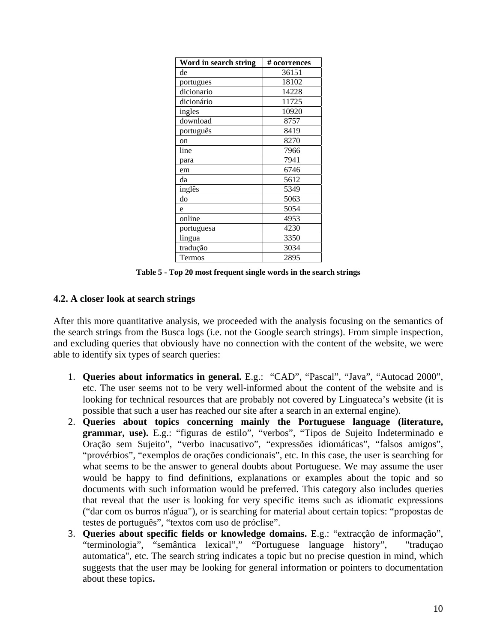| Word in search string | # ocorrences |
|-----------------------|--------------|
| de                    | 36151        |
| portugues             | 18102        |
| dicionario            | 14228        |
| dicionário            | 11725        |
| ingles                | 10920        |
| download              | 8757         |
| português             | 8419         |
| on                    | 8270         |
| line                  | 7966         |
| para                  | 7941         |
| em                    | 6746         |
| da                    | 5612         |
| inglês                | 5349         |
| do                    | 5063         |
| e                     | 5054         |
| online                | 4953         |
| portuguesa            | 4230         |
| lingua                | 3350         |
| tradução              | 3034         |
| Termos                | 2895         |

**Table 5 - Top 20 most frequent single words in the search strings** 

#### **4.2. A closer look at search strings**

After this more quantitative analysis, we proceeded with the analysis focusing on the semantics of the search strings from the Busca logs (i.e. not the Google search strings). From simple inspection, and excluding queries that obviously have no connection with the content of the website, we were able to identify six types of search queries:

- 1. **Queries about informatics in general.** E.g.: "CAD", "Pascal", "Java", "Autocad 2000", etc. The user seems not to be very well-informed about the content of the website and is looking for technical resources that are probably not covered by Linguateca's website (it is possible that such a user has reached our site after a search in an external engine).
- 2. **Queries about topics concerning mainly the Portuguese language (literature, grammar, use).** E.g.: "figuras de estilo", "verbos", "Tipos de Sujeito Indeterminado e Oração sem Sujeito", "verbo inacusativo", "expressões idiomáticas", "falsos amigos", "provérbios", "exemplos de orações condicionais", etc. In this case, the user is searching for what seems to be the answer to general doubts about Portuguese. We may assume the user would be happy to find definitions, explanations or examples about the topic and so documents with such information would be preferred. This category also includes queries that reveal that the user is looking for very specific items such as idiomatic expressions ("dar com os burros n'água"), or is searching for material about certain topics: "propostas de testes de português", "textos com uso de próclise".
- 3. **Queries about specific fields or knowledge domains.** E.g.: "extracção de informação", "terminologia", "semântica lexical"," "Portuguese language history", "traduçao automatica", etc. The search string indicates a topic but no precise question in mind, which suggests that the user may be looking for general information or pointers to documentation about these topics**.**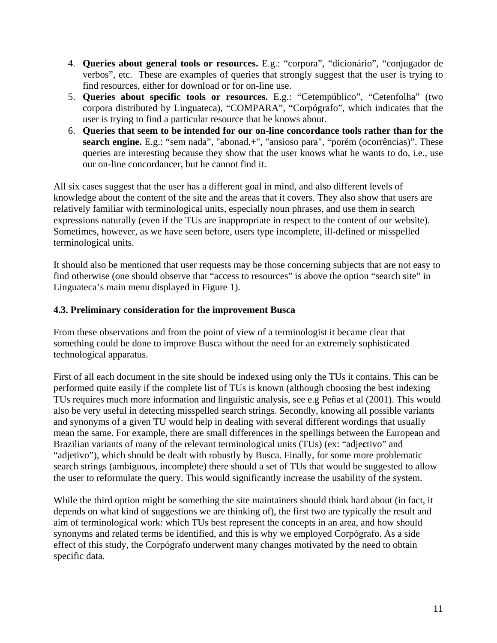- 4. **Queries about general tools or resources.** E.g.: "corpora", "dicionário", "conjugador de verbos", etc. These are examples of queries that strongly suggest that the user is trying to find resources, either for download or for on-line use.
- 5. **Queries about specific tools or resources.** E.g.: "Cetempúblico", "Cetenfolha" (two corpora distributed by Linguateca), "COMPARA", "Corpógrafo", which indicates that the user is trying to find a particular resource that he knows about.
- 6. **Queries that seem to be intended for our on-line concordance tools rather than for the**  search engine. E.g.: "sem nada", "abonad.+", "ansioso para", "porém (ocorrências)". These queries are interesting because they show that the user knows what he wants to do, i.e., use our on-line concordancer, but he cannot find it.

All six cases suggest that the user has a different goal in mind, and also different levels of knowledge about the content of the site and the areas that it covers. They also show that users are relatively familiar with terminological units, especially noun phrases, and use them in search expressions naturally (even if the TUs are inappropriate in respect to the content of our website). Sometimes, however, as we have seen before, users type incomplete, ill-defined or misspelled terminological units.

It should also be mentioned that user requests may be those concerning subjects that are not easy to find otherwise (one should observe that "access to resources" is above the option "search site" in Linguateca's main menu displayed in Figure 1).

#### **4.3. Preliminary consideration for the improvement Busca**

From these observations and from the point of view of a terminologist it became clear that something could be done to improve Busca without the need for an extremely sophisticated technological apparatus.

First of all each document in the site should be indexed using only the TUs it contains. This can be performed quite easily if the complete list of TUs is known (although choosing the best indexing TUs requires much more information and linguistic analysis, see e.g Peñas et al (2001). This would also be very useful in detecting misspelled search strings. Secondly, knowing all possible variants and synonyms of a given TU would help in dealing with several different wordings that usually mean the same. For example, there are small differences in the spellings between the European and Brazilian variants of many of the relevant terminological units (TUs) (ex: "adje**c**tivo" and "adjetivo"), which should be dealt with robustly by Busca. Finally, for some more problematic search strings (ambiguous, incomplete) there should a set of TUs that would be suggested to allow the user to reformulate the query. This would significantly increase the usability of the system.

While the third option might be something the site maintainers should think hard about (in fact, it depends on what kind of suggestions we are thinking of), the first two are typically the result and aim of terminological work: which TUs best represent the concepts in an area, and how should synonyms and related terms be identified, and this is why we employed Corpógrafo. As a side effect of this study, the Corpógrafo underwent many changes motivated by the need to obtain specific data.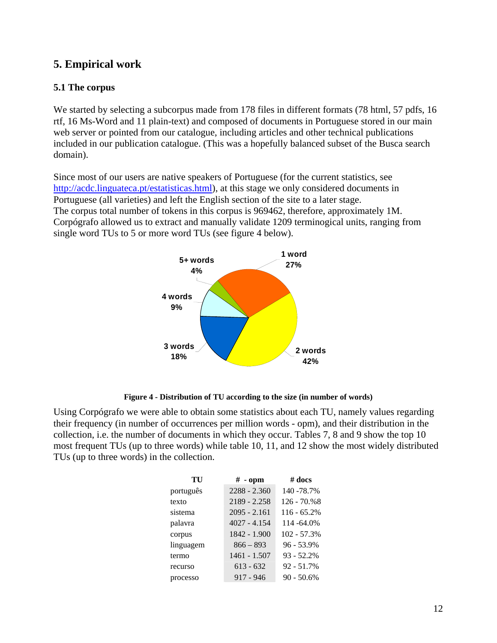### **5. Empirical work**

#### **5.1 The corpus**

We started by selecting a subcorpus made from 178 files in different formats (78 html, 57 pdfs, 16 rtf, 16 Ms-Word and 11 plain-text) and composed of documents in Portuguese stored in our main web server or pointed from our catalogue, including articles and other technical publications included in our publication catalogue. (This was a hopefully balanced subset of the Busca search domain).

Since most of our users are native speakers of Portuguese (for the current statistics, see [http://acdc.linguateca.pt/estatisticas.html\)](http://acdc.linguateca.pt/estatisticas.html), at this stage we only considered documents in Portuguese (all varieties) and left the English section of the site to a later stage. The corpus total number of tokens in this corpus is 969462, therefore, approximately 1M. Corpógrafo allowed us to extract and manually validate 1209 terminogical units, ranging from single word TUs to 5 or more word TUs (see figure 4 below).



**Figure 4 - Distribution of TU according to the size (in number of words)** 

Using Corpógrafo we were able to obtain some statistics about each TU, namely values regarding their frequency (in number of occurrences per million words - opm), and their distribution in the collection, i.e. the number of documents in which they occur. Tables 7, 8 and 9 show the top 10 most frequent TUs (up to three words) while table 10, 11, and 12 show the most widely distributed TUs (up to three words) in the collection.

| TU        | $#$ - opm      | $#$ docs      |
|-----------|----------------|---------------|
| português | $2288 - 2.360$ | 140 - 78.7%   |
| texto     | 2189 - 2.258   | $126 - 70.%8$ |
| sistema   | $2095 - 2.161$ | $116 - 65.2%$ |
| palavra   | $4027 - 4.154$ | 114 - 64.0%   |
| corpus    | 1842 - 1.900   | 102 - 57.3%   |
| linguagem | $866 - 893$    | $96 - 53.9%$  |
| termo     | 1461 - 1.507   | $93 - 52.2%$  |
| recurso   | $613 - 632$    | $92 - 51.7%$  |
| processo  | $917 - 946$    | $90 - 50.6\%$ |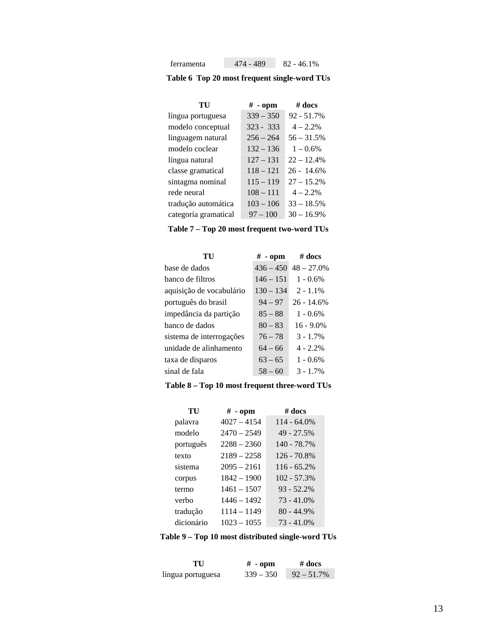| ferramenta | 474 - 489 | $82 - 46.1\%$ |
|------------|-----------|---------------|
|------------|-----------|---------------|

**Table 6 Top 20 most frequent single-word TUs** 

| TU                   | $#$ - opm   | $#$ docs      |
|----------------------|-------------|---------------|
| língua portuguesa    | $339 - 350$ | $92 - 51.7%$  |
| modelo conceptual    | $323 - 333$ | $4 - 2.2%$    |
| linguagem natural    | $256 - 264$ | $56 - 31.5%$  |
| modelo coclear       | $132 - 136$ | $1 - 0.6\%$   |
| língua natural       | $127 - 131$ | $22 - 12.4%$  |
| classe gramatical    | $118 - 121$ | $26 - 14.6\%$ |
| sintagma nominal     | $115 - 119$ | $27 - 15.2\%$ |
| rede neural          | $108 - 111$ | $4 - 2.2\%$   |
| tradução automática  | $103 - 106$ | $33 - 18.5%$  |
| categoria gramatical | $97 - 100$  | $30 - 16.9\%$ |

**Table 7 – Top 20 most frequent two-word TUs** 

| TU                       | $#$ - opm   | $\#$ docs     |
|--------------------------|-------------|---------------|
| base de dados            | $436 - 450$ | $48 - 27.0\%$ |
| banco de filtros         | $146 - 151$ | $1 - 0.6\%$   |
| aquisição de vocabulário | $130 - 134$ | $2 - 1.1\%$   |
| português do brasil      | $94 - 97$   | $26 - 14.6%$  |
| impedância da partição   | $85 - 88$   | $1 - 0.6\%$   |
| banco de dados           | $80 - 83$   | $16 - 9.0\%$  |
| sistema de interrogações | $76 - 78$   | $3 - 1.7\%$   |
| unidade de alinhamento   | $64 - 66$   | $4 - 2.2\%$   |
| taxa de disparos         | $63 - 65$   | $1 - 0.6\%$   |
| sinal de fala            | $58 - 60$   | $3 - 1.7\%$   |

#### **Table 8 – Top 10 most frequent three-word TUs**

| TU         | $#$ - opm     | $#$ docs       |
|------------|---------------|----------------|
| palavra    | $4027 - 4154$ | $114 - 64.0\%$ |
| modelo     | $2470 - 2549$ | 49 - 27.5%     |
| português  | $2288 - 2360$ | 140 - 78.7%    |
| texto      | $2189 - 2258$ | $126 - 70.8%$  |
| sistema    | $2095 - 2161$ | $116 - 65.2%$  |
| corpus     | $1842 - 1900$ | $102 - 57.3%$  |
| termo      | 1461 – 1507   | $93 - 52.2%$   |
| verbo      | $1446 - 1492$ | $73 - 41.0%$   |
| tradução   | $1114 - 1149$ | $80 - 44.9%$   |
| dicionário | $1023 - 1055$ | $73 - 41.0%$   |

#### **Table 9 – Top 10 most distributed single-word TUs**

| TU                | $#$ - opm   | $\#$ docs     |
|-------------------|-------------|---------------|
| língua portuguesa | $339 - 350$ | $92 - 51.7\%$ |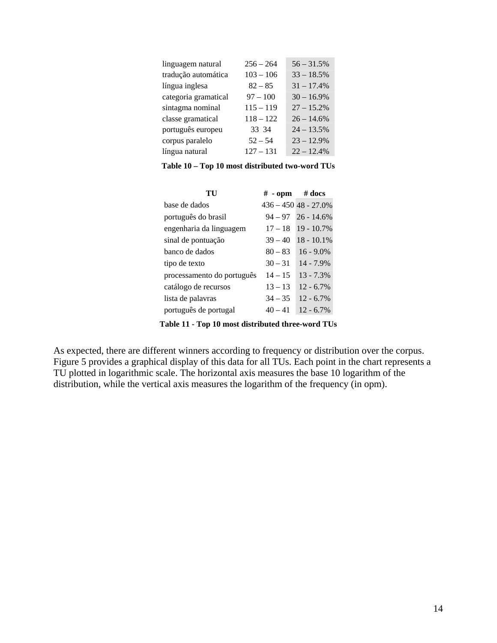| linguagem natural    | $256 - 264$ | $56 - 31.5%$ |
|----------------------|-------------|--------------|
| tradução automática  | $103 - 106$ | $33 - 18.5%$ |
| língua inglesa       | $82 - 85$   | $31 - 17.4%$ |
| categoria gramatical | $97 - 100$  | $30 - 16.9%$ |
| sintagma nominal     | $115 - 119$ | $27 - 15.2%$ |
| classe gramatical    | $118 - 122$ | $26 - 14.6%$ |
| português europeu    | 33 34       | $24 - 13.5%$ |
| corpus paralelo      | $52 - 54$   | $23 - 12.9%$ |
| língua natural       | $127 - 131$ | $22 - 12.4%$ |

**Table 10 – Top 10 most distributed two-word TUs** 

| $\#$ - opm $\#$ docs |                           |
|----------------------|---------------------------|
|                      | $436 - 450$ $48 - 27.0\%$ |
| $94 - 97$            | $26 - 14.6\%$             |
| $17 - 18$            | $19 - 10.7\%$             |
| $39 - 40$            | $18 - 10.1\%$             |
| $80 - 83$            | $16 - 9.0\%$              |
| $30 - 31$            | $14 - 7.9\%$              |
| $14 - 15$            | $13 - 7.3\%$              |
| $13 - 13$            | $12 - 6.7\%$              |
| $34 - 35$            | $12 - 6.7\%$              |
| $40 - 41$            | $12 - 6.7\%$              |
|                      |                           |

**Table 11 - Top 10 most distributed three-word TUs** 

As expected, there are different winners according to frequency or distribution over the corpus. Figure 5 provides a graphical display of this data for all TUs. Each point in the chart represents a TU plotted in logarithmic scale. The horizontal axis measures the base 10 logarithm of the distribution, while the vertical axis measures the logarithm of the frequency (in opm).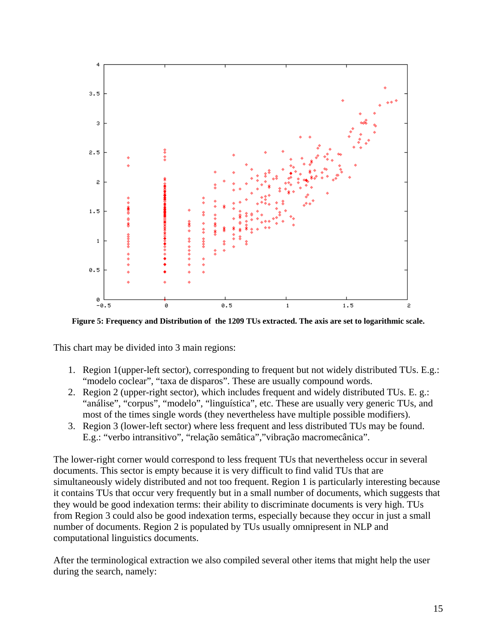

**Figure 5: Frequency and Distribution of the 1209 TUs extracted. The axis are set to logarithmic scale.**

This chart may be divided into 3 main regions:

- 1. Region 1(upper-left sector), corresponding to frequent but not widely distributed TUs. E.g.: "modelo coclear", "taxa de disparos". These are usually compound words.
- 2. Region 2 (upper-right sector), which includes frequent and widely distributed TUs. E. g.: "análise", "corpus", "modelo", "linguística", etc. These are usually very generic TUs, and most of the times single words (they nevertheless have multiple possible modifiers).
- 3. Region 3 (lower-left sector) where less frequent and less distributed TUs may be found. E.g.: "verbo intransitivo", "relação semâtica","vibração macromecânica".

The lower-right corner would correspond to less frequent TUs that nevertheless occur in several documents. This sector is empty because it is very difficult to find valid TUs that are simultaneously widely distributed and not too frequent. Region 1 is particularly interesting because it contains TUs that occur very frequently but in a small number of documents, which suggests that they would be good indexation terms: their ability to discriminate documents is very high. TUs from Region 3 could also be good indexation terms, especially because they occur in just a small number of documents. Region 2 is populated by TUs usually omnipresent in NLP and computational linguistics documents.

After the terminological extraction we also compiled several other items that might help the user during the search, namely: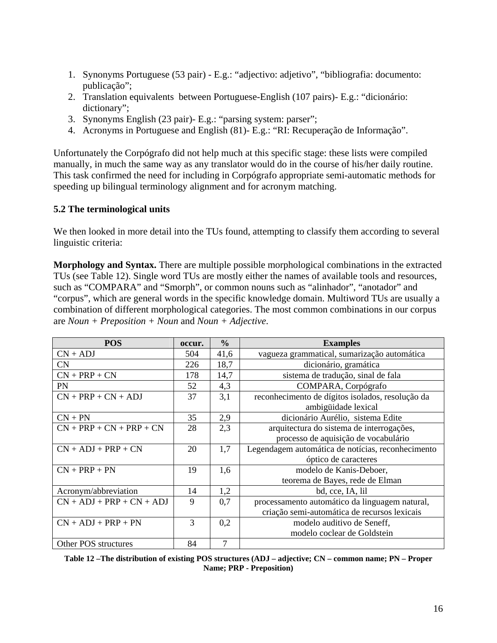- 1. Synonyms Portuguese (53 pair) E.g.: "adjectivo: adjetivo", "bibliografia: documento: publicação";
- 2. Translation equivalents between Portuguese-English (107 pairs)- E.g.: "dicionário: dictionary";
- 3. Synonyms English (23 pair)- E.g.: "parsing system: parser";
- 4. Acronyms in Portuguese and English (81)- E.g.: "RI: Recuperação de Informação".

Unfortunately the Corpógrafo did not help much at this specific stage: these lists were compiled manually, in much the same way as any translator would do in the course of his/her daily routine. This task confirmed the need for including in Corpógrafo appropriate semi-automatic methods for speeding up bilingual terminology alignment and for acronym matching.

#### **5.2 The terminological units**

We then looked in more detail into the TUs found, attempting to classify them according to several linguistic criteria:

**Morphology and Syntax.** There are multiple possible morphological combinations in the extracted TUs (see Table 12). Single word TUs are mostly either the names of available tools and resources, such as "COMPARA" and "Smorph", or common nouns such as "alinhador", "anotador" and "corpus", which are general words in the specific knowledge domain. Multiword TUs are usually a combination of different morphological categories. The most common combinations in our corpus are *Noun + Preposition + Noun* and *Noun + Adjective*.

| <b>POS</b>                  | occur. | $\frac{0}{0}$ | <b>Examples</b>                                   |
|-----------------------------|--------|---------------|---------------------------------------------------|
| $CN + ADJ$                  | 504    | 41,6          | vagueza grammatical, sumarização automática       |
| CN                          | 226    | 18,7          | dicionário, gramática                             |
| $CN + PRP + CN$             | 178    | 14,7          | sistema de tradução, sinal de fala                |
| <b>PN</b>                   | 52     | 4,3           | COMPARA, Corpógrafo                               |
| $CN + PRP + CN + ADJ$       | 37     | 3,1           | reconhecimento de dígitos isolados, resolução da  |
|                             |        |               | ambigüidade lexical                               |
| $CN + PN$                   | 35     | 2,9           | dicionário Aurélio, sistema Edite                 |
| $CN + PRP + CN + PRP + CN$  | 28     | 2,3           | arquitectura do sistema de interrogações,         |
|                             |        |               | processo de aquisição de vocabulário              |
| $CN + ADJ + PRP + CN$       | 20     | 1,7           | Legendagem automática de notícias, reconhecimento |
|                             |        |               | óptico de caracteres                              |
| $CN + PRP + PN$             | 19     | 1,6           | modelo de Kanis-Deboer,                           |
|                             |        |               | teorema de Bayes, rede de Elman                   |
| Acronym/abbreviation        | 14     | 1,2           | bd, cce, IA, lil                                  |
| $CN + ADJ + PRP + CN + ADJ$ | 9      | 0,7           | processamento automático da linguagem natural,    |
|                             |        |               | criação semi-automática de recursos lexicais      |
| $CN + ADJ + PRP + PN$       | 3      | 0,2           | modelo auditivo de Seneff,                        |
|                             |        |               | modelo coclear de Goldstein                       |
| Other POS structures        | 84     | 7             |                                                   |

**Table 12 –The distribution of existing POS structures (ADJ – adjective; CN – common name; PN – Proper Name; PRP - Preposition)**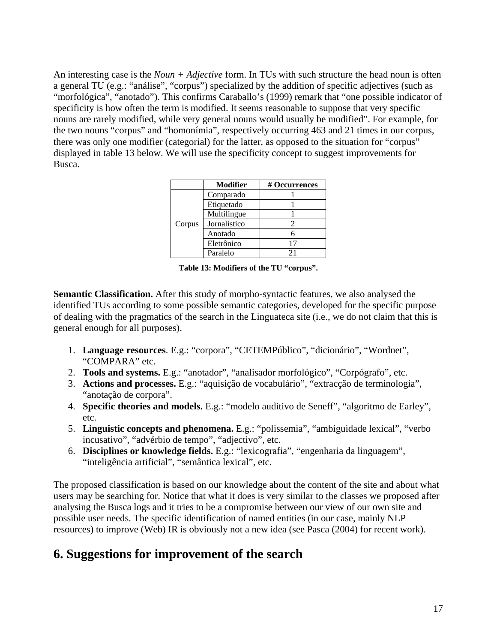An interesting case is the *Noun + Adjective* form. In TUs with such structure the head noun is often a general TU (e.g.: "análise", "corpus") specialized by the addition of specific adjectives (such as "morfológica", "anotado"). This confirms Caraballo's (1999) remark that "one possible indicator of specificity is how often the term is modified. It seems reasonable to suppose that very specific nouns are rarely modified, while very general nouns would usually be modified". For example, for the two nouns "corpus" and "homonímia", respectively occurring 463 and 21 times in our corpus, there was only one modifier (categorial) for the latter, as opposed to the situation for "corpus" displayed in table 13 below. We will use the specificity concept to suggest improvements for Busca.

|        | <b>Modifier</b> | # Occurrences |
|--------|-----------------|---------------|
|        | Comparado       |               |
|        | Etiquetado      |               |
|        | Multilingue     |               |
| Corpus | Jornalístico    |               |
|        | Anotado         |               |
|        | Eletrônico      |               |
|        | Paralelo        | 21            |

**Table 13: Modifiers of the TU "corpus".**

**Semantic Classification.** After this study of morpho-syntactic features, we also analysed the identified TUs according to some possible semantic categories, developed for the specific purpose of dealing with the pragmatics of the search in the Linguateca site (i.e., we do not claim that this is general enough for all purposes).

- 1. **Language resources**. E.g.: "corpora", "CETEMPúblico", "dicionário", "Wordnet", "COMPARA" etc.
- 2. **Tools and systems.** E.g.: "anotador", "analisador morfológico", "Corpógrafo", etc.
- 3. **Actions and processes.** E.g.: "aquisição de vocabulário", "extracção de terminologia", "anotação de corpora".
- 4. **Specific theories and models.** E.g.: "modelo auditivo de Seneff", "algoritmo de Earley", etc.
- 5. **Linguistic concepts and phenomena.** E.g.: "polissemia", "ambiguidade lexical", "verbo incusativo", "advérbio de tempo", "adjectivo", etc.
- 6. **Disciplines or knowledge fields.** E.g.: "lexicografia", "engenharia da linguagem", "inteligência artificial", "semântica lexical", etc.

The proposed classification is based on our knowledge about the content of the site and about what users may be searching for. Notice that what it does is very similar to the classes we proposed after analysing the Busca logs and it tries to be a compromise between our view of our own site and possible user needs. The specific identification of named entities (in our case, mainly NLP resources) to improve (Web) IR is obviously not a new idea (see Pasca (2004) for recent work).

# **6. Suggestions for improvement of the search**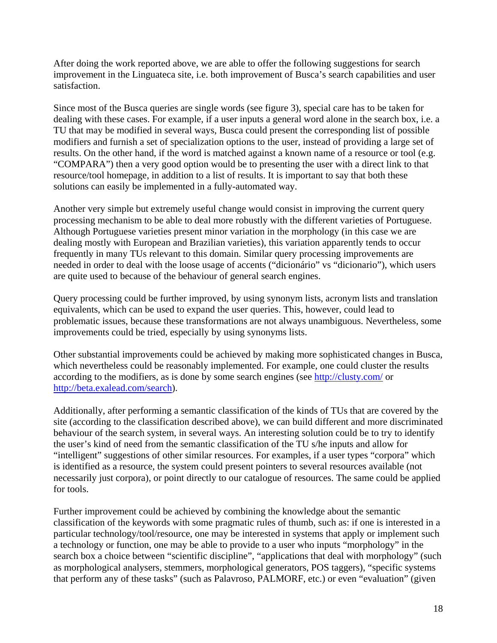After doing the work reported above, we are able to offer the following suggestions for search improvement in the Linguateca site, i.e. both improvement of Busca's search capabilities and user satisfaction.

Since most of the Busca queries are single words (see figure 3), special care has to be taken for dealing with these cases. For example, if a user inputs a general word alone in the search box, i.e. a TU that may be modified in several ways, Busca could present the corresponding list of possible modifiers and furnish a set of specialization options to the user, instead of providing a large set of results. On the other hand, if the word is matched against a known name of a resource or tool (e.g. "COMPARA") then a very good option would be to presenting the user with a direct link to that resource/tool homepage, in addition to a list of results. It is important to say that both these solutions can easily be implemented in a fully-automated way.

Another very simple but extremely useful change would consist in improving the current query processing mechanism to be able to deal more robustly with the different varieties of Portuguese. Although Portuguese varieties present minor variation in the morphology (in this case we are dealing mostly with European and Brazilian varieties), this variation apparently tends to occur frequently in many TUs relevant to this domain. Similar query processing improvements are needed in order to deal with the loose usage of accents ("dicionário" vs "dicionario"), which users are quite used to because of the behaviour of general search engines.

Query processing could be further improved, by using synonym lists, acronym lists and translation equivalents, which can be used to expand the user queries. This, however, could lead to problematic issues, because these transformations are not always unambiguous. Nevertheless, some improvements could be tried, especially by using synonyms lists.

Other substantial improvements could be achieved by making more sophisticated changes in Busca, which nevertheless could be reasonably implemented. For example, one could cluster the results according to the modifiers, as is done by some search engines (see<http://clusty.com/>or [http://beta.exalead.com/search\)](http://beta.exalead.com/search).

Additionally, after performing a semantic classification of the kinds of TUs that are covered by the site (according to the classification described above), we can build different and more discriminated behaviour of the search system, in several ways. An interesting solution could be to try to identify the user's kind of need from the semantic classification of the TU s/he inputs and allow for "intelligent" suggestions of other similar resources. For examples, if a user types "corpora" which is identified as a resource, the system could present pointers to several resources available (not necessarily just corpora), or point directly to our catalogue of resources. The same could be applied for tools.

Further improvement could be achieved by combining the knowledge about the semantic classification of the keywords with some pragmatic rules of thumb, such as: if one is interested in a particular technology/tool/resource, one may be interested in systems that apply or implement such a technology or function, one may be able to provide to a user who inputs "morphology" in the search box a choice between "scientific discipline", "applications that deal with morphology" (such as morphological analysers, stemmers, morphological generators, POS taggers), "specific systems that perform any of these tasks" (such as Palavroso, PALMORF, etc.) or even "evaluation" (given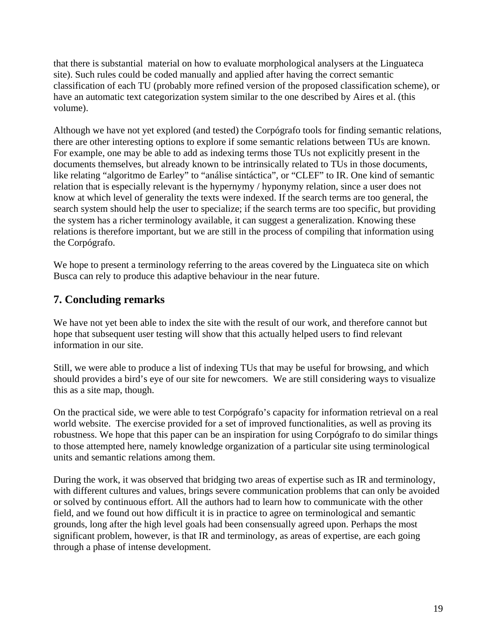that there is substantial material on how to evaluate morphological analysers at the Linguateca site). Such rules could be coded manually and applied after having the correct semantic classification of each TU (probably more refined version of the proposed classification scheme), or have an automatic text categorization system similar to the one described by Aires et al. (this volume).

Although we have not yet explored (and tested) the Corpógrafo tools for finding semantic relations, there are other interesting options to explore if some semantic relations between TUs are known. For example, one may be able to add as indexing terms those TUs not explicitly present in the documents themselves, but already known to be intrinsically related to TUs in those documents, like relating "algoritmo de Earley" to "análise sintáctica", or "CLEF" to IR. One kind of semantic relation that is especially relevant is the hypernymy / hyponymy relation, since a user does not know at which level of generality the texts were indexed. If the search terms are too general, the search system should help the user to specialize; if the search terms are too specific, but providing the system has a richer terminology available, it can suggest a generalization. Knowing these relations is therefore important, but we are still in the process of compiling that information using the Corpógrafo.

We hope to present a terminology referring to the areas covered by the Linguateca site on which Busca can rely to produce this adaptive behaviour in the near future.

### **7. Concluding remarks**

We have not yet been able to index the site with the result of our work, and therefore cannot but hope that subsequent user testing will show that this actually helped users to find relevant information in our site.

Still, we were able to produce a list of indexing TUs that may be useful for browsing, and which should provides a bird's eye of our site for newcomers. We are still considering ways to visualize this as a site map, though.

On the practical side, we were able to test Corpógrafo's capacity for information retrieval on a real world website. The exercise provided for a set of improved functionalities, as well as proving its robustness. We hope that this paper can be an inspiration for using Corpógrafo to do similar things to those attempted here, namely knowledge organization of a particular site using terminological units and semantic relations among them.

During the work, it was observed that bridging two areas of expertise such as IR and terminology, with different cultures and values, brings severe communication problems that can only be avoided or solved by continuous effort. All the authors had to learn how to communicate with the other field, and we found out how difficult it is in practice to agree on terminological and semantic grounds, long after the high level goals had been consensually agreed upon. Perhaps the most significant problem, however, is that IR and terminology, as areas of expertise, are each going through a phase of intense development.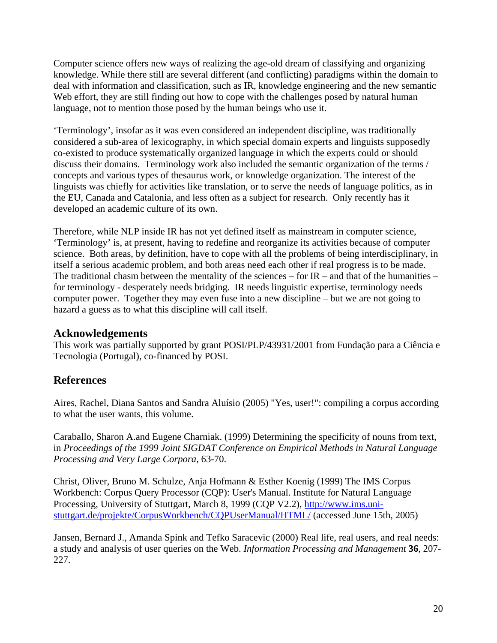Computer science offers new ways of realizing the age-old dream of classifying and organizing knowledge. While there still are several different (and conflicting) paradigms within the domain to deal with information and classification, such as IR, knowledge engineering and the new semantic Web effort, they are still finding out how to cope with the challenges posed by natural human language, not to mention those posed by the human beings who use it.

'Terminology', insofar as it was even considered an independent discipline, was traditionally considered a sub-area of lexicography, in which special domain experts and linguists supposedly co-existed to produce systematically organized language in which the experts could or should discuss their domains. Terminology work also included the semantic organization of the terms / concepts and various types of thesaurus work, or knowledge organization. The interest of the linguists was chiefly for activities like translation, or to serve the needs of language politics, as in the EU, Canada and Catalonia, and less often as a subject for research. Only recently has it developed an academic culture of its own.

Therefore, while NLP inside IR has not yet defined itself as mainstream in computer science, 'Terminology' is, at present, having to redefine and reorganize its activities because of computer science. Both areas, by definition, have to cope with all the problems of being interdisciplinary, in itself a serious academic problem, and both areas need each other if real progress is to be made. The traditional chasm between the mentality of the sciences – for  $IR$  – and that of the humanities – for terminology - desperately needs bridging. IR needs linguistic expertise, terminology needs computer power. Together they may even fuse into a new discipline – but we are not going to hazard a guess as to what this discipline will call itself.

### **Acknowledgements**

This work was partially supported by grant POSI/PLP/43931/2001 from Fundação para a Ciência e Tecnologia (Portugal), co-financed by POSI.

# **References**

Aires, Rachel, Diana Santos and Sandra Aluísio (2005) "Yes, user!": compiling a corpus according to what the user wants, this volume.

Caraballo, Sharon A.and Eugene Charniak. (1999) Determining the specificity of nouns from text, in *Proceedings of the 1999 Joint SIGDAT Conference on Empirical Methods in Natural Language Processing and Very Large Corpora*, 63-70.

Christ, Oliver, Bruno M. Schulze, Anja Hofmann & Esther Koenig (1999) The IMS Corpus Workbench: Corpus Query Processor (CQP): User's Manual. Institute for Natural Language Processing, University of Stuttgart, March 8, 1999 (CQP V2.2), [http://www.ims.uni](http://www.ims.uni-stuttgart.de/projekte/CorpusWorkbench/CQPUserManual/HTML/)[stuttgart.de/projekte/CorpusWorkbench/CQPUserManual/HTML/](http://www.ims.uni-stuttgart.de/projekte/CorpusWorkbench/CQPUserManual/HTML/) (accessed June 15th, 2005)

Jansen, Bernard J., Amanda Spink and Tefko Saracevic (2000) Real life, real users, and real needs: a study and analysis of user queries on the Web. *Information Processing and Management* **36**, 207- 227.